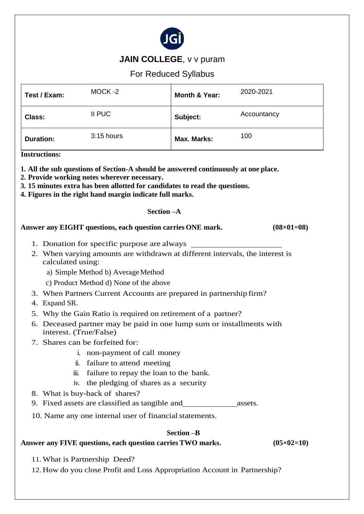

# **JAIN COLLEGE, v v puram**

# For Reduced Syllabus

| Test / Exam:     | MOCK-2     | Month & Year: | 2020-2021   |
|------------------|------------|---------------|-------------|
| <b>Class:</b>    | II PUC     | Subject:      | Accountancy |
| <b>Duration:</b> | 3:15 hours | Max. Marks:   | 100         |

**Instructions:**

**1. All the sub questions of Section-A should be answered continuously at one place.**

**2. Provide working notes wherever necessary.**

- **3. 15 minutes extra has been allotted for candidates to read the questions.**
- **4. Figures in the right hand margin indicate full marks.**

#### **Section –A**

#### **Answer any EIGHT questions, each question carries ONE mark. (08×01=08)**

- 1. Donation for specific purpose are always
- 2. When varying amounts are withdrawn at different intervals, the interest is calculated using:
	- a) Simple Method b) AverageMethod
	- c) Product Method d) None of the above
- 3. When Partners Current Accounts are prepared in partnership firm?
- 4. Expand SR.
- 5. Why the Gain Ratio is required on retirement of a partner?
- 6. Deceased partner may be paid in one lump sum or installments with interest. (True/False)
- 7. Shares can be forfeited for:
	- i. non-payment of call money
	- ii. failure to attend meeting
	- iii. failure to repay the loan to the bank.
	- iv. the pledging of shares as a security
- 8. What is buy-back of shares?
- 9. Fixed assets are classified as tangible and assets.
- 10. Name any one internal user of financial statements.

#### **Section –B**

#### **Answer any FIVE questions, each question carries TWO marks. (05×02=10)**

11.What is Partnership Deed?

12. How do you close Profit and Loss Appropriation Account in Partnership?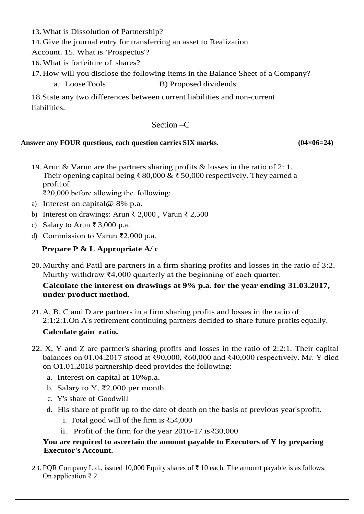13.What is Dissolution of Partnership?

14. Give the journal entry for transferring an asset to Realization

Account. 15. What is 'Prospectus'?

16.What is forfeiture of shares?

17. How will you disclose the following items in the Balance Sheet of a Company?

a. Loose Tools B) Proposed dividends.

18.State any two differences between current liabilities and non-current liabilities.

### Section  $-C$

### **Answer any FOUR questions, each question carries SIX marks. (04×06=24)**

19. Arun & Varun are the partners sharing profits & losses in the ratio of 2: 1. Their opening capital being ₹ 80,000 & ₹ 50,000 respectively. They earned a profit of

₹20,000 before allowing the following:

- a) Interest on capital@ 8% p.a.
- b) Interest on drawings: Arun ₹ 2,000 , Varun ₹ 2,500
- c) Salary to Arun ₹ 3,000 p.a.
- d) Commission to Varun ₹2,000 p.a.

# **Prepare P & L Appropriate A/ c**

20.Murthy and Patil are partners in a firm sharing profits and losses in the ratio of 3:2. Murthy withdraw ₹4,000 quarterly at the beginning of each quarter.

# **Calculate the interest on drawings at 9% p.a. for the year ending 31.03.2017, under product method.**

- 21. A, B, C and D are partners in a firm sharing profits and losses in the ratio of 2:1:2:1.On A's retirement continuing partners decided to share future profits equally. **Calculate gain ratio.**
- 22. X, Y and Z are partner's sharing profits and losses in the ratio of 2:2:1. Their capital balances on 01.04.2017 stood at ₹90,000, ₹60,000 and ₹40,000 respectively. Mr. Y died on O1.01.2018 partnership deed provides the following:
	- a. Interest on capital at 10%p.a.
	- b. Salary to Y, ₹2,000 per month.
	- c. Y's share of Goodwill
	- d. His share of profit up to the date of death on the basis of previous year'sprofit.
		- i. Total good will of the firm is ₹54,000
		- ii. Profit of the firm for the year 2016-17 is₹30,000

# **You are required to ascertain the amount payable to Executors of Y by preparing Executor's Account.**

23. PQR Company Ltd., issued 10,000 Equity shares of  $\bar{\tau}$  10 each. The amount payable is as follows. On application ₹ 2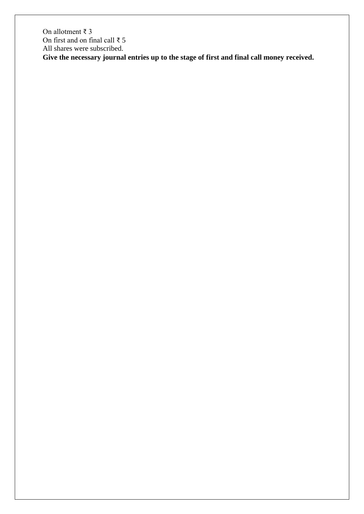On allotment ₹ 3 On first and on final call ₹ 5 All shares were subscribed. **Give the necessary journal entries up to the stage of first and final call money received.**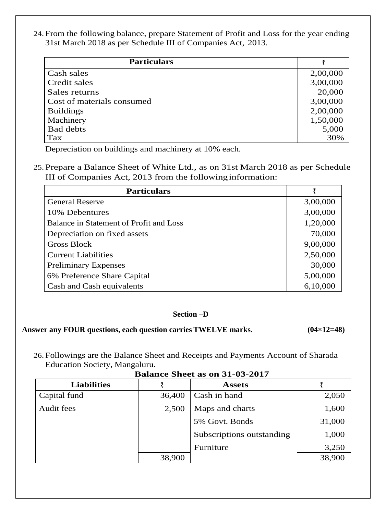24. From the following balance, prepare Statement of Profit and Loss for the year ending 31st March 2018 as per Schedule III of Companies Act, 2013.

| <b>Particulars</b>         |          |
|----------------------------|----------|
| Cash sales                 | 2,00,000 |
| Credit sales               | 3,00,000 |
| Sales returns              | 20,000   |
| Cost of materials consumed | 3,00,000 |
| <b>Buildings</b>           | 2,00,000 |
| Machinery                  | 1,50,000 |
| <b>Bad debts</b>           | 5,000    |
| Tax                        | 30%      |

Depreciation on buildings and machinery at 10% each.

25. Prepare a Balance Sheet of White Ltd., as on 31st March 2018 as per Schedule III of Companies Act, 2013 from the followinginformation:

| <b>Particulars</b>                      |          |
|-----------------------------------------|----------|
| <b>General Reserve</b>                  | 3,00,000 |
| 10% Debentures                          | 3,00,000 |
| Balance in Statement of Profit and Loss | 1,20,000 |
| Depreciation on fixed assets            | 70,000   |
| <b>Gross Block</b>                      | 9,00,000 |
| <b>Current Liabilities</b>              | 2,50,000 |
| <b>Preliminary Expenses</b>             | 30,000   |
| 6% Preference Share Capital             | 5,00,000 |
| Cash and Cash equivalents               | 6,10,000 |

#### **Section –D**

### **Answer any FOUR questions, each question carries TWELVE marks. (04×12=48)**

26. Followings are the Balance Sheet and Receipts and Payments Account of Sharada Education Society, Mangaluru.

| <b>Liabilities</b> |        | <b>Assets</b>             |        |
|--------------------|--------|---------------------------|--------|
| Capital fund       | 36,400 | Cash in hand              | 2,050  |
| Audit fees         | 2,500  | Maps and charts           | 1,600  |
|                    |        | 5% Govt. Bonds            | 31,000 |
|                    |        | Subscriptions outstanding | 1,000  |
|                    |        | Furniture                 | 3,250  |
|                    | 38,900 |                           | 38,900 |

**Balance Sheet as on 31-03-2017**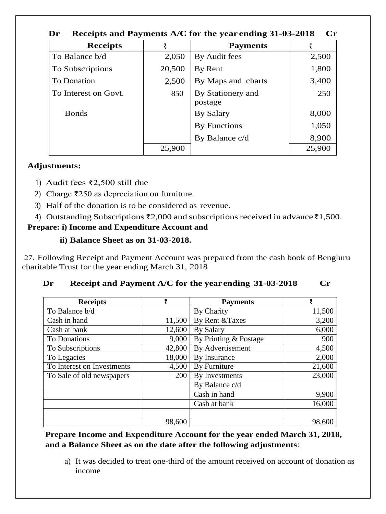| $\mathbf{C}\mathbf{r}$<br>Dr<br>Receipts and Payments A/C for the year ending 31-03-2018 |        |                              |        |  |
|------------------------------------------------------------------------------------------|--------|------------------------------|--------|--|
| <b>Receipts</b>                                                                          |        | <b>Payments</b>              |        |  |
| To Balance b/d                                                                           | 2,050  | By Audit fees                | 2,500  |  |
| To Subscriptions                                                                         | 20,500 | By Rent                      | 1,800  |  |
| To Donation                                                                              | 2,500  | By Maps and charts           | 3,400  |  |
| To Interest on Govt.                                                                     | 850    | By Stationery and<br>postage | 250    |  |
| <b>Bonds</b>                                                                             |        | By Salary                    | 8,000  |  |
|                                                                                          |        | By Functions                 | 1,050  |  |
|                                                                                          |        | By Balance c/d               | 8,900  |  |
|                                                                                          | 25,900 |                              | 25,900 |  |

# **Adjustments:**

- 1) Audit fees ₹2,500 still due
- 2) Charge ₹250 as depreciation on furniture.
- 3) Half of the donation is to be considered as revenue.
- 4) Outstanding Subscriptions ₹2,000 and subscriptions received in advance₹1,500.

# **Prepare: i) Income and Expenditure Account and**

# **ii) Balance Sheet as on 31-03-2018.**

27. Following Receipt and Payment Account was prepared from the cash book of Bengluru charitable Trust for the year ending March 31, 2018

| <b>Receipts</b>            | ₹      | <b>Payments</b>       | ₹      |
|----------------------------|--------|-----------------------|--------|
| To Balance b/d             |        | By Charity            | 11,500 |
| Cash in hand               | 11,500 | By Rent & Taxes       | 3,200  |
| Cash at bank               | 12,600 | <b>By Salary</b>      | 6,000  |
| <b>To Donations</b>        | 9,000  | By Printing & Postage | 900    |
| To Subscriptions           | 42,800 | By Advertisement      | 4,500  |
| To Legacies                | 18,000 | By Insurance          | 2,000  |
| To Interest on Investments | 4,500  | By Furniture          | 21,600 |
| To Sale of old newspapers  | 200    | By Investments        | 23,000 |
|                            |        | By Balance c/d        |        |
|                            |        | Cash in hand          | 9,900  |
|                            |        | Cash at bank          | 16,000 |
|                            |        |                       |        |
|                            | 98,600 |                       | 98,600 |

# **Dr Receipt and Payment A/C for the year ending 31-03-2018 Cr**

**Prepare Income and Expenditure Account for the year ended March 31, 2018, and a Balance Sheet as on the date after the following adjustments**:

a) It was decided to treat one-third of the amount received on account of donation as income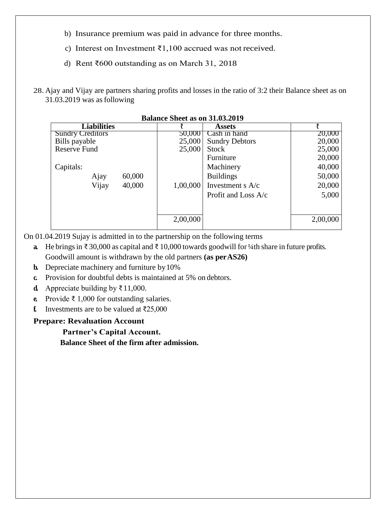- b) Insurance premium was paid in advance for three months.
- c) Interest on Investment ₹1,100 accrued was not received.
- d) Rent ₹600 outstanding as on March 31, 2018
- 28. Ajay and Vijay are partners sharing profits and losses in the ratio of 3:2 their Balance sheet as on 31.03.2019 was asfollowing

| <b>Liabilities</b>      |          | <b>Assets</b>         |          |
|-------------------------|----------|-----------------------|----------|
| <b>Sundry Creditors</b> | 50,000   | Cash in hand          | 20,000   |
| Bills payable           | 25,000   | <b>Sundry Debtors</b> | 20,000   |
| <b>Reserve Fund</b>     | 25,000   | <b>Stock</b>          | 25,000   |
|                         |          | Furniture             | 20,000   |
| Capitals:               |          | Machinery             | 40,000   |
| 60,000<br>Ajay          |          | <b>Buildings</b>      | 50,000   |
| Vijay<br>40,000         | 1,00,000 | Investment s $A/c$    | 20,000   |
|                         |          | Profit and Loss A/c   | 5,000    |
|                         |          |                       |          |
|                         | 2,00,000 |                       | 2,00,000 |

**Balance Sheet as on 31.03.2019**

On 01.04.2019 Sujay is admitted in to the partnership on the following terms

- **a.** He bringsin ₹ 30,000 as capital and ₹ 10,000 towards goodwill for ¼th share in future profits. Goodwill amount is withdrawn by the old partners **(as perAS26)**
- **b.** Depreciate machinery and furniture by 10%
- **c.** Provision for doubtful debts is maintained at 5% on debtors.
- **d.** Appreciate building by  $\bar{\tau}$  11,000.
- **e.** Provide ₹ 1,000 for outstanding salaries.
- **f.** Investments are to be valued at  $\overline{\xi}$ 25,000

### **Prepare: Revaluation Account**

**Partner's Capital Account. Balance Sheet of the firm after admission.**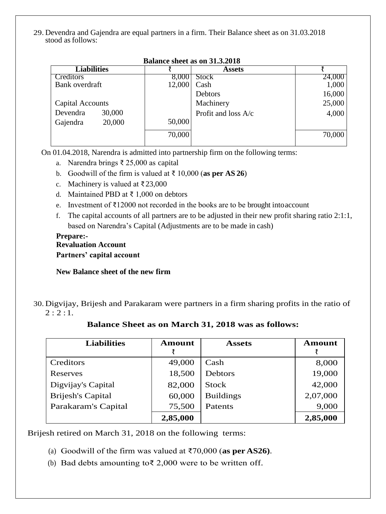29. Devendra and Gajendra are equal partners in a firm. Their Balance sheet as on 31.03.2018 stood as follows:

| Dalance sheet as on 51.5.2010 |        |        |                       |        |  |
|-------------------------------|--------|--------|-----------------------|--------|--|
| <b>Liabilities</b>            |        |        | <b>Assets</b>         |        |  |
| Creditors                     |        | 8,000  | <b>Stock</b>          | 24,000 |  |
| Bank overdraft                |        | 12,000 | Cash                  | 1,000  |  |
|                               |        |        | Debtors               | 16,000 |  |
| Capital Accounts              |        |        | Machinery             | 25,000 |  |
| Devendra                      | 30,000 |        | Profit and loss $A/c$ | 4,000  |  |
| Gajendra                      | 20,000 | 50,000 |                       |        |  |
|                               |        | 70,000 |                       | 70,000 |  |
|                               |        |        |                       |        |  |

#### **Balance sheet as on 31.3.2018**

On 01.04.2018, Narendra is admitted into partnership firm on the following terms:

- a. Narendra brings ₹ 25,000 as capital
- b. Goodwill of the firm is valued at ₹ 10,000 (**as per AS 26**)
- c. Machinery is valued at ₹23,000
- d. Maintained PBD at ₹ 1,000 on debtors
- e. Investment of ₹12000 not recorded in the books are to be brought intoaccount
- f. The capital accounts of all partners are to be adjusted in their new profit sharing ratio 2:1:1, based on Narendra's Capital (Adjustments are to be made in cash)

### **Prepare:- Revaluation Account Partners' capital account**

#### **New Balance sheet of the new firm**

30. Digvijay, Brijesh and Parakaram were partners in a firm sharing profits in the ratio of  $2:2:1$ .

| <b>Liabilities</b>       | <b>Amount</b> | <b>Assets</b>    | <b>Amount</b> |
|--------------------------|---------------|------------------|---------------|
| Creditors                | 49,000        | Cash             | 8,000         |
| Reserves                 | 18,500        | <b>Debtors</b>   | 19,000        |
| Digvijay's Capital       | 82,000        | <b>Stock</b>     | 42,000        |
| <b>Brijesh's Capital</b> | 60,000        | <b>Buildings</b> | 2,07,000      |
| Parakaram's Capital      | 75,500        | Patents          | 9,000         |
|                          | 2,85,000      |                  | 2,85,000      |

### **Balance Sheet as on March 31, 2018 was as follows:**

Brijesh retired on March 31, 2018 on the following terms:

- (a) Goodwill of the firm was valued at ₹70,000 (**as per AS26)**.
- (b) Bad debts amounting to  $\bar{\xi}$  2,000 were to be written off.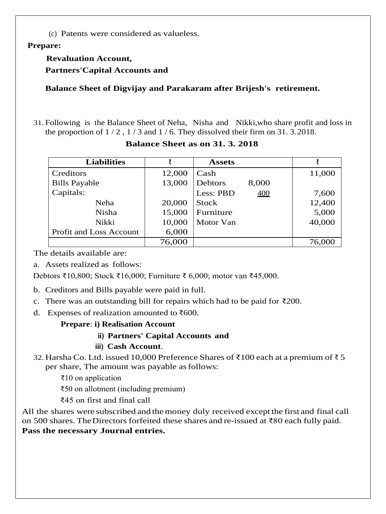(c) Patents were considered as valueless.

### **Prepare:**

# **Revaluation Account,**

**Partners'Capital Accounts and**

**Balance Sheet of Digvijay and Parakaram after Brijesh's retirement.**

31. Following is the Balance Sheet of Neha, Nisha and Nikki,who share profit and loss in the proportion of  $1/2$ ,  $1/3$  and  $1/6$ . They dissolved their firm on 31. 3.2018.

| <b>Liabilities</b>      |        | <b>Assets</b>    |        |
|-------------------------|--------|------------------|--------|
| Creditors               | 12,000 | Cash             | 11,000 |
| <b>Bills Payable</b>    | 13,000 | Debtors<br>8,000 |        |
| Capitals:               |        | Less: PBD<br>400 | 7,600  |
| Neha                    | 20,000 | <b>Stock</b>     | 12,400 |
| <b>Nisha</b>            | 15,000 | Furniture        | 5,000  |
| Nikki                   | 10,000 | Motor Van        | 40,000 |
| Profit and Loss Account | 6,000  |                  |        |
|                         | 76,000 |                  | 76,000 |

### **Balance Sheet as on 31. 3. 2018**

The details available are:

a. Assets realized as follows:

Debtors ₹10,800; Stock ₹16,000; Furniture ₹ 6,000; motor van ₹45,000.

- b. Creditors and Bills payable were paid in full.
- c. There was an outstanding bill for repairs which had to be paid for  $\overline{\xi}200$ .
- d. Expenses of realization amounted to  $\text{\textdegree}600$ .

# **Prepare**: **i) Realisation Account**

# **ii) Partners' Capital Accounts and**

# **iii) Cash Account**.

- 32. Harsha Co. Ltd. issued 10,000 Preference Shares of ₹100 each at a premium of ₹5 per share, The amount was payable as follows:
	- ₹10 on application

₹50 on allotment (including premium)

₹45 on first and final call

All the shares were subscribed and themoney duly received except the first and final call on 500 shares. TheDirectors forfeited these shares and re-issued at ₹80 each fully paid. **Pass the necessary Journal entries.**